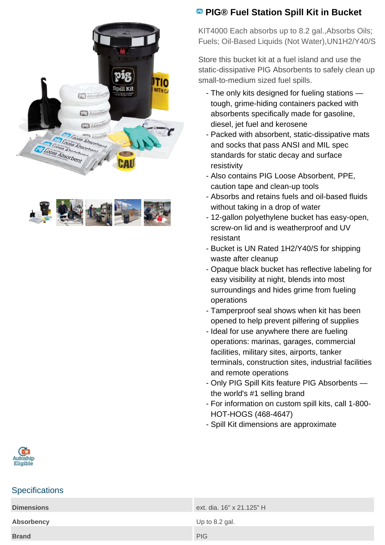



## **PIG® Fuel Station Spill Kit in Bucket**

KIT4000 Each absorbs up to 8.2 gal.,Absorbs Oils; Fuels; Oil-Based Liquids (Not Water),UN1H2/Y40/S

Store this bucket kit at a fuel island and use the static-dissipative PIG Absorbents to safely clean up small-to-medium sized fuel spills.

- The only kits designed for fueling stations tough, grime-hiding containers packed with absorbents specifically made for gasoline, diesel, jet fuel and kerosene
- Packed with absorbent, static-dissipative mats and socks that pass ANSI and MIL spec standards for static decay and surface resistivity
- Also contains PIG Loose Absorbent, PPE, caution tape and clean-up tools
- Absorbs and retains fuels and oil-based fluids without taking in a drop of water
- 12-gallon polyethylene bucket has easy-open, screw-on lid and is weatherproof and UV resistant
- Bucket is UN Rated 1H2/Y40/S for shipping waste after cleanup
- Opaque black bucket has reflective labeling for easy visibility at night, blends into most surroundings and hides grime from fueling operations
- Tamperproof seal shows when kit has been opened to help prevent pilfering of supplies
- Ideal for use anywhere there are fueling operations: marinas, garages, commercial facilities, military sites, airports, tanker terminals, construction sites, industrial facilities and remote operations
- Only PIG Spill Kits feature PIG Absorbents the world's #1 selling brand
- For information on custom spill kits, call 1-800-HOT-HOGS (468-4647)
- Spill Kit dimensions are approximate



## **Specifications**

| <b>Dimensions</b> | ext. dia. 16" x 21.125" H |
|-------------------|---------------------------|
| <b>Absorbency</b> | Up to 8.2 gal.            |
| <b>Brand</b>      | <b>PIG</b>                |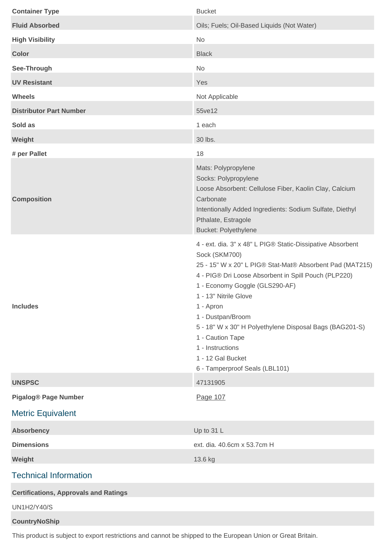| <b>Container Type</b>                        | <b>Bucket</b>                                                                                                                                                                                                                                                                                                                                                                                                                                          |
|----------------------------------------------|--------------------------------------------------------------------------------------------------------------------------------------------------------------------------------------------------------------------------------------------------------------------------------------------------------------------------------------------------------------------------------------------------------------------------------------------------------|
| <b>Fluid Absorbed</b>                        | Oils; Fuels; Oil-Based Liquids (Not Water)                                                                                                                                                                                                                                                                                                                                                                                                             |
| <b>High Visibility</b>                       | No                                                                                                                                                                                                                                                                                                                                                                                                                                                     |
| <b>Color</b>                                 | <b>Black</b>                                                                                                                                                                                                                                                                                                                                                                                                                                           |
| See-Through                                  | No                                                                                                                                                                                                                                                                                                                                                                                                                                                     |
| <b>UV Resistant</b>                          | Yes                                                                                                                                                                                                                                                                                                                                                                                                                                                    |
| <b>Wheels</b>                                | Not Applicable                                                                                                                                                                                                                                                                                                                                                                                                                                         |
| <b>Distributor Part Number</b>               | 55ve12                                                                                                                                                                                                                                                                                                                                                                                                                                                 |
| Sold as                                      | 1 each                                                                                                                                                                                                                                                                                                                                                                                                                                                 |
| Weight                                       | 30 lbs.                                                                                                                                                                                                                                                                                                                                                                                                                                                |
| # per Pallet                                 | 18                                                                                                                                                                                                                                                                                                                                                                                                                                                     |
| <b>Composition</b>                           | Mats: Polypropylene<br>Socks: Polypropylene<br>Loose Absorbent: Cellulose Fiber, Kaolin Clay, Calcium<br>Carbonate<br>Intentionally Added Ingredients: Sodium Sulfate, Diethyl<br>Pthalate, Estragole<br><b>Bucket: Polyethylene</b>                                                                                                                                                                                                                   |
| <b>Includes</b>                              | 4 - ext. dia. 3" x 48" L PIG® Static-Dissipative Absorbent<br>Sock (SKM700)<br>25 - 15" W x 20" L PIG® Stat-Mat® Absorbent Pad (MAT215)<br>4 - PIG® Dri Loose Absorbent in Spill Pouch (PLP220)<br>1 - Economy Goggle (GLS290-AF)<br>1 - 13" Nitrile Glove<br>1 - Apron<br>1 - Dustpan/Broom<br>5 - 18" W x 30" H Polyethylene Disposal Bags (BAG201-S)<br>1 - Caution Tape<br>1 - Instructions<br>1 - 12 Gal Bucket<br>6 - Tamperproof Seals (LBL101) |
| <b>UNSPSC</b>                                | 47131905                                                                                                                                                                                                                                                                                                                                                                                                                                               |
| <b>Pigalog® Page Number</b>                  | Page 107                                                                                                                                                                                                                                                                                                                                                                                                                                               |
| <b>Metric Equivalent</b>                     |                                                                                                                                                                                                                                                                                                                                                                                                                                                        |
| <b>Absorbency</b>                            | Up to 31 L                                                                                                                                                                                                                                                                                                                                                                                                                                             |
| <b>Dimensions</b><br>Weight                  | ext. dia. 40.6cm x 53.7cm H<br>13.6 kg                                                                                                                                                                                                                                                                                                                                                                                                                 |
| <b>Technical Information</b>                 |                                                                                                                                                                                                                                                                                                                                                                                                                                                        |
| <b>Certifications, Approvals and Ratings</b> |                                                                                                                                                                                                                                                                                                                                                                                                                                                        |
| <b>UN1H2/Y40/S</b>                           |                                                                                                                                                                                                                                                                                                                                                                                                                                                        |
| <b>CountryNoShip</b>                         |                                                                                                                                                                                                                                                                                                                                                                                                                                                        |

This product is subject to export restrictions and cannot be shipped to the European Union or Great Britain.